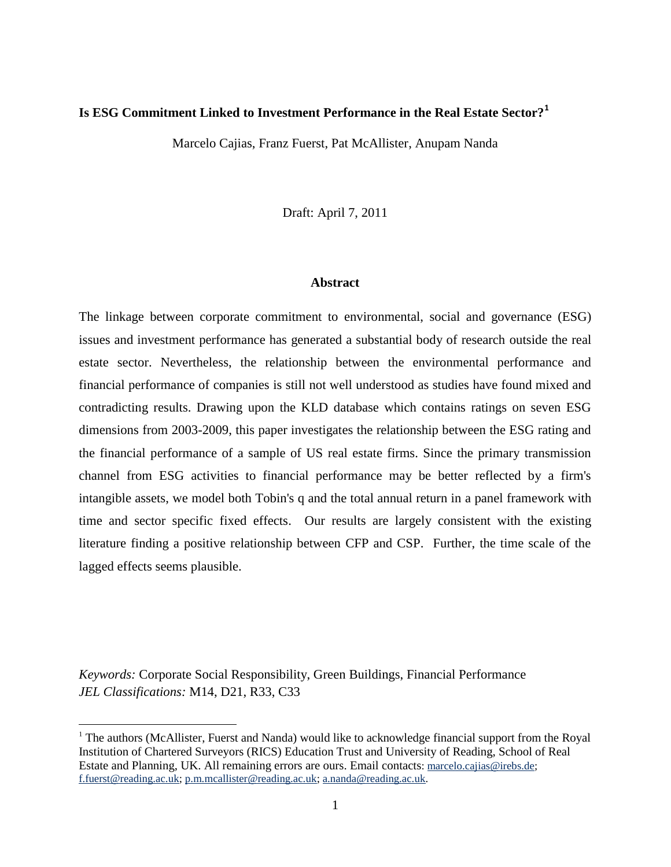### **Is ESG Commitment Linked to Investment Performance in the Real Estate Sector?<sup>1</sup>**

Marcelo Cajias, Franz Fuerst, Pat McAllister, Anupam Nanda

Draft: April 7, 2011

#### **Abstract**

The linkage between corporate commitment to environmental, social and governance (ESG) issues and investment performance has generated a substantial body of research outside the real estate sector. Nevertheless, the relationship between the environmental performance and financial performance of companies is still not well understood as studies have found mixed and contradicting results. Drawing upon the KLD database which contains ratings on seven ESG dimensions from 2003-2009, this paper investigates the relationship between the ESG rating and the financial performance of a sample of US real estate firms. Since the primary transmission channel from ESG activities to financial performance may be better reflected by a firm's intangible assets, we model both Tobin's q and the total annual return in a panel framework with time and sector specific fixed effects. Our results are largely consistent with the existing literature finding a positive relationship between CFP and CSP. Further, the time scale of the lagged effects seems plausible.

*Keywords:* Corporate Social Responsibility, Green Buildings, Financial Performance *JEL Classifications:* M14, D21, R33, C33

 $\overline{a}$ 

<sup>&</sup>lt;sup>1</sup> The authors (McAllister, Fuerst and Nanda) would like to acknowledge financial support from the Royal Institution of Chartered Surveyors (RICS) Education Trust and University of Reading, School of Real Estate and Planning, UK. All remaining errors are ours. Email contacts: [marcelo.cajias@irebs.de;](mailto:marcelo.cajias@irebs.de) [f.fuerst@reading.ac.uk;](mailto:f.fuerst@reading.ac.uk) [p.m.mcallister@reading.ac.uk;](mailto:p.m.mcallister@reading.ac.uk) [a.nanda@reading.ac.uk.](mailto:a.nanda@reading.ac.uk)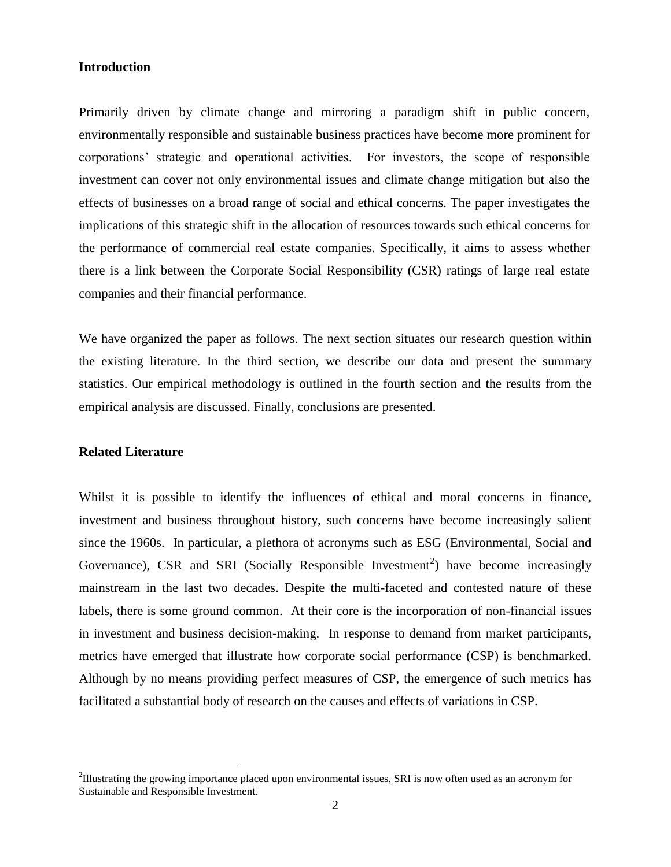#### **Introduction**

Primarily driven by climate change and mirroring a paradigm shift in public concern, environmentally responsible and sustainable business practices have become more prominent for corporations" strategic and operational activities. For investors, the scope of responsible investment can cover not only environmental issues and climate change mitigation but also the effects of businesses on a broad range of social and ethical concerns. The paper investigates the implications of this strategic shift in the allocation of resources towards such ethical concerns for the performance of commercial real estate companies. Specifically, it aims to assess whether there is a link between the Corporate Social Responsibility (CSR) ratings of large real estate companies and their financial performance.

We have organized the paper as follows. The next section situates our research question within the existing literature. In the third section, we describe our data and present the summary statistics. Our empirical methodology is outlined in the fourth section and the results from the empirical analysis are discussed. Finally, conclusions are presented.

# **Related Literature**

 $\overline{a}$ 

Whilst it is possible to identify the influences of ethical and moral concerns in finance, investment and business throughout history, such concerns have become increasingly salient since the 1960s. In particular, a plethora of acronyms such as ESG (Environmental, Social and Governance), CSR and SRI (Socially Responsible Investment<sup>2</sup>) have become increasingly mainstream in the last two decades. Despite the multi-faceted and contested nature of these labels, there is some ground common. At their core is the incorporation of non-financial issues in investment and business decision-making. In response to demand from market participants, metrics have emerged that illustrate how corporate social performance (CSP) is benchmarked. Although by no means providing perfect measures of CSP, the emergence of such metrics has facilitated a substantial body of research on the causes and effects of variations in CSP.

 $2$ Illustrating the growing importance placed upon environmental issues, SRI is now often used as an acronym for Sustainable and Responsible Investment.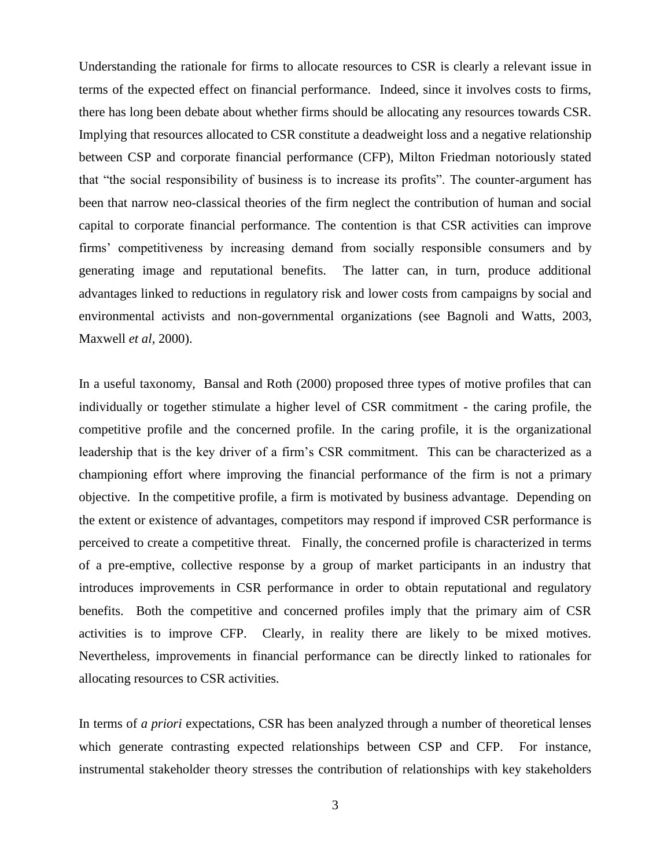Understanding the rationale for firms to allocate resources to CSR is clearly a relevant issue in terms of the expected effect on financial performance. Indeed, since it involves costs to firms, there has long been debate about whether firms should be allocating any resources towards CSR. Implying that resources allocated to CSR constitute a deadweight loss and a negative relationship between CSP and corporate financial performance (CFP), Milton Friedman notoriously stated that "the social responsibility of business is to increase its profits". The counter-argument has been that narrow neo-classical theories of the firm neglect the contribution of human and social capital to corporate financial performance. The contention is that CSR activities can improve firms" competitiveness by increasing demand from socially responsible consumers and by generating image and reputational benefits. The latter can, in turn, produce additional advantages linked to reductions in regulatory risk and lower costs from campaigns by social and environmental activists and non-governmental organizations (see Bagnoli and Watts, 2003, Maxwell *et al*, 2000).

In a useful taxonomy, Bansal and Roth (2000) proposed three types of motive profiles that can individually or together stimulate a higher level of CSR commitment - the caring profile, the competitive profile and the concerned profile. In the caring profile, it is the organizational leadership that is the key driver of a firm"s CSR commitment. This can be characterized as a championing effort where improving the financial performance of the firm is not a primary objective. In the competitive profile, a firm is motivated by business advantage. Depending on the extent or existence of advantages, competitors may respond if improved CSR performance is perceived to create a competitive threat. Finally, the concerned profile is characterized in terms of a pre-emptive, collective response by a group of market participants in an industry that introduces improvements in CSR performance in order to obtain reputational and regulatory benefits. Both the competitive and concerned profiles imply that the primary aim of CSR activities is to improve CFP. Clearly, in reality there are likely to be mixed motives. Nevertheless, improvements in financial performance can be directly linked to rationales for allocating resources to CSR activities.

In terms of *a priori* expectations, CSR has been analyzed through a number of theoretical lenses which generate contrasting expected relationships between CSP and CFP. For instance, instrumental stakeholder theory stresses the contribution of relationships with key stakeholders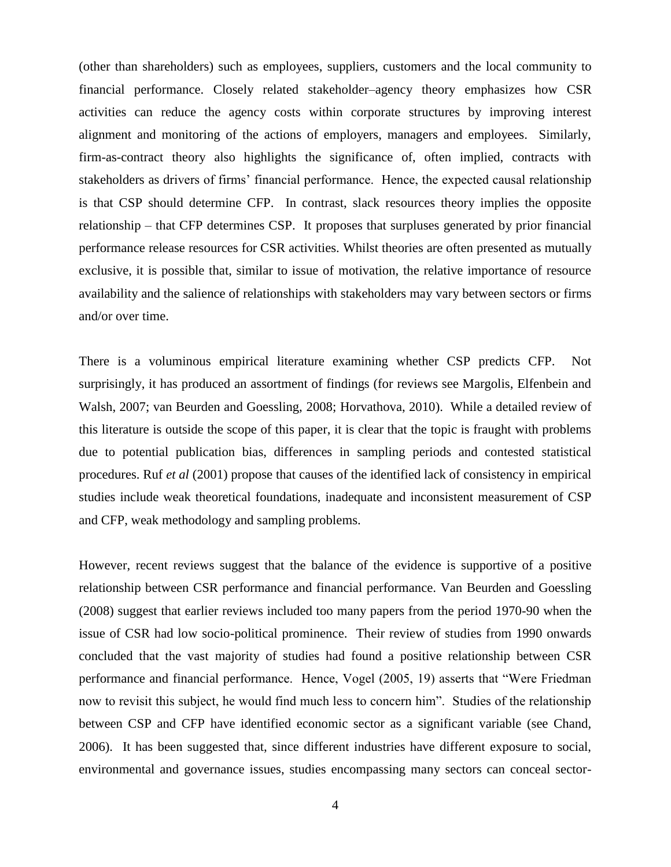(other than shareholders) such as employees, suppliers, customers and the local community to financial performance. Closely related stakeholder–agency theory emphasizes how CSR activities can reduce the agency costs within corporate structures by improving interest alignment and monitoring of the actions of employers, managers and employees. Similarly, firm-as-contract theory also highlights the significance of, often implied, contracts with stakeholders as drivers of firms' financial performance. Hence, the expected causal relationship is that CSP should determine CFP. In contrast, slack resources theory implies the opposite relationship – that CFP determines CSP. It proposes that surpluses generated by prior financial performance release resources for CSR activities. Whilst theories are often presented as mutually exclusive, it is possible that, similar to issue of motivation, the relative importance of resource availability and the salience of relationships with stakeholders may vary between sectors or firms and/or over time.

There is a voluminous empirical literature examining whether CSP predicts CFP. Not surprisingly, it has produced an assortment of findings (for reviews see Margolis, Elfenbein and Walsh, 2007; van Beurden and Goessling, 2008; Horvathova, 2010). While a detailed review of this literature is outside the scope of this paper, it is clear that the topic is fraught with problems due to potential publication bias, differences in sampling periods and contested statistical procedures. Ruf *et al* (2001) propose that causes of the identified lack of consistency in empirical studies include weak theoretical foundations, inadequate and inconsistent measurement of CSP and CFP, weak methodology and sampling problems.

However, recent reviews suggest that the balance of the evidence is supportive of a positive relationship between CSR performance and financial performance. Van Beurden and Goessling (2008) suggest that earlier reviews included too many papers from the period 1970-90 when the issue of CSR had low socio-political prominence. Their review of studies from 1990 onwards concluded that the vast majority of studies had found a positive relationship between CSR performance and financial performance. Hence, Vogel (2005, 19) asserts that "Were Friedman now to revisit this subject, he would find much less to concern him". Studies of the relationship between CSP and CFP have identified economic sector as a significant variable (see Chand, 2006). It has been suggested that, since different industries have different exposure to social, environmental and governance issues, studies encompassing many sectors can conceal sector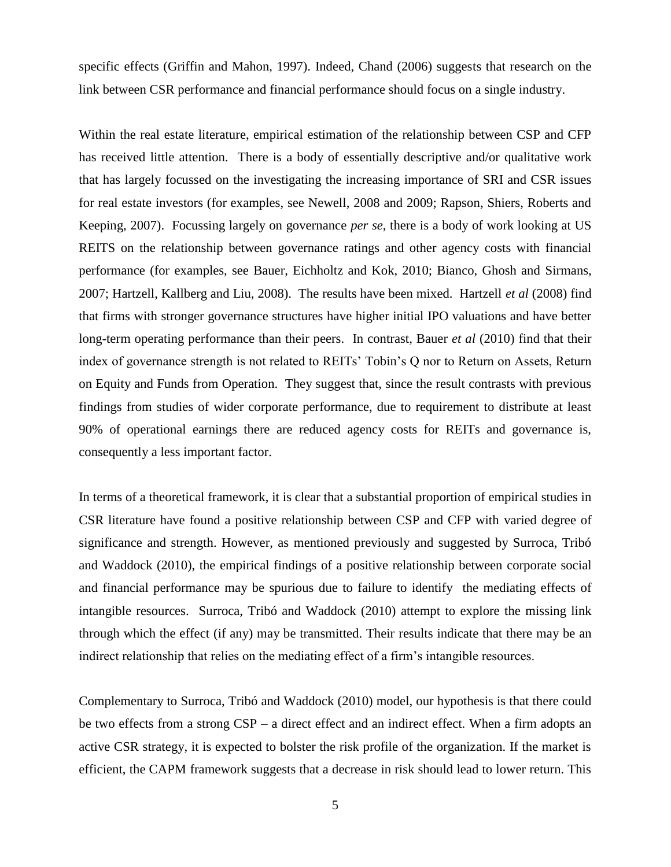specific effects (Griffin and Mahon, 1997). Indeed, Chand (2006) suggests that research on the link between CSR performance and financial performance should focus on a single industry.

Within the real estate literature, empirical estimation of the relationship between CSP and CFP has received little attention. There is a body of essentially descriptive and/or qualitative work that has largely focussed on the investigating the increasing importance of SRI and CSR issues for real estate investors (for examples, see Newell, 2008 and 2009; Rapson, Shiers, Roberts and Keeping, 2007). Focussing largely on governance *per se*, there is a body of work looking at US REITS on the relationship between governance ratings and other agency costs with financial performance (for examples, see Bauer, Eichholtz and Kok, 2010; Bianco, Ghosh and Sirmans, 2007; Hartzell, Kallberg and Liu, 2008). The results have been mixed. Hartzell *et al* (2008) find that firms with stronger governance structures have higher initial IPO valuations and have better long-term operating performance than their peers. In contrast, Bauer *et al* (2010) find that their index of governance strength is not related to REITs' Tobin's Q nor to Return on Assets, Return on Equity and Funds from Operation. They suggest that, since the result contrasts with previous findings from studies of wider corporate performance, due to requirement to distribute at least 90% of operational earnings there are reduced agency costs for REITs and governance is, consequently a less important factor.

In terms of a theoretical framework, it is clear that a substantial proportion of empirical studies in CSR literature have found a positive relationship between CSP and CFP with varied degree of significance and strength. However, as mentioned previously and suggested by Surroca, Tribó and Waddock (2010), the empirical findings of a positive relationship between corporate social and financial performance may be spurious due to failure to identify the mediating effects of intangible resources. Surroca, Tribó and Waddock (2010) attempt to explore the missing link through which the effect (if any) may be transmitted. Their results indicate that there may be an indirect relationship that relies on the mediating effect of a firm"s intangible resources.

Complementary to Surroca, Tribó and Waddock (2010) model, our hypothesis is that there could be two effects from a strong CSP – a direct effect and an indirect effect. When a firm adopts an active CSR strategy, it is expected to bolster the risk profile of the organization. If the market is efficient, the CAPM framework suggests that a decrease in risk should lead to lower return. This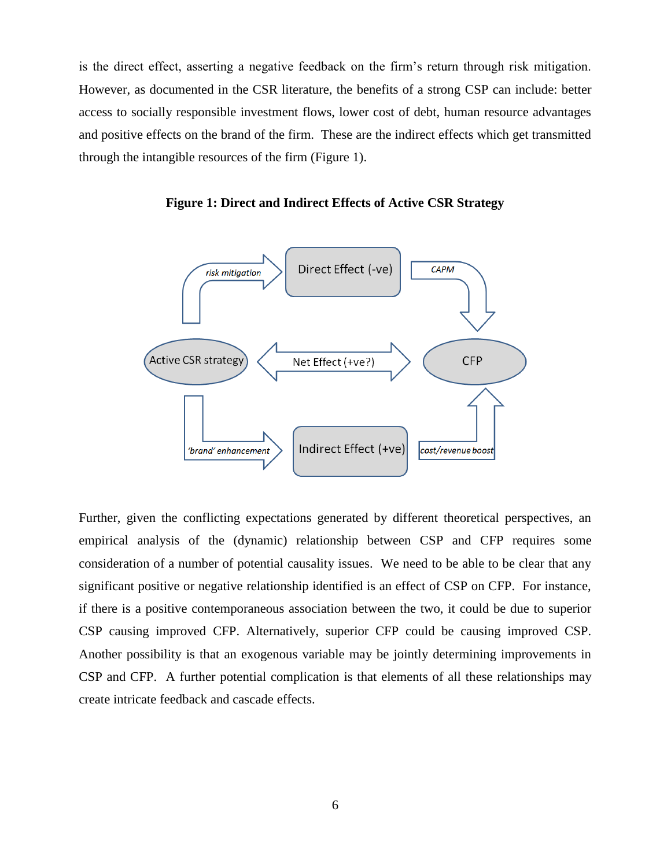is the direct effect, asserting a negative feedback on the firm"s return through risk mitigation. However, as documented in the CSR literature, the benefits of a strong CSP can include: better access to socially responsible investment flows, lower cost of debt, human resource advantages and positive effects on the brand of the firm. These are the indirect effects which get transmitted through the intangible resources of the firm (Figure 1).



**Figure 1: Direct and Indirect Effects of Active CSR Strategy**

Further, given the conflicting expectations generated by different theoretical perspectives, an empirical analysis of the (dynamic) relationship between CSP and CFP requires some consideration of a number of potential causality issues. We need to be able to be clear that any significant positive or negative relationship identified is an effect of CSP on CFP. For instance, if there is a positive contemporaneous association between the two, it could be due to superior CSP causing improved CFP. Alternatively, superior CFP could be causing improved CSP. Another possibility is that an exogenous variable may be jointly determining improvements in CSP and CFP. A further potential complication is that elements of all these relationships may create intricate feedback and cascade effects.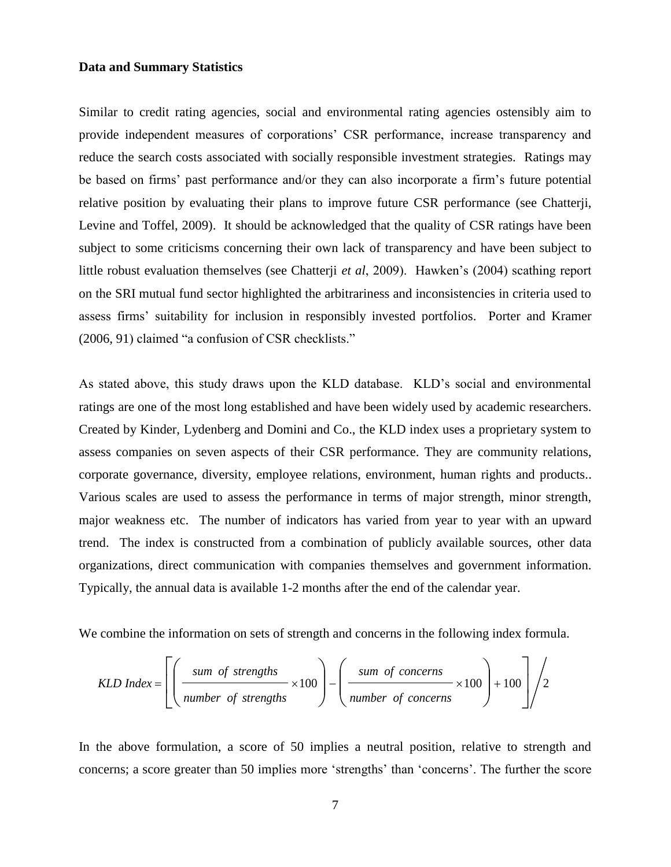#### **Data and Summary Statistics**

Similar to credit rating agencies, social and environmental rating agencies ostensibly aim to provide independent measures of corporations" CSR performance, increase transparency and reduce the search costs associated with socially responsible investment strategies. Ratings may be based on firms' past performance and/or they can also incorporate a firm's future potential relative position by evaluating their plans to improve future CSR performance (see Chatterji, Levine and Toffel, 2009). It should be acknowledged that the quality of CSR ratings have been subject to some criticisms concerning their own lack of transparency and have been subject to little robust evaluation themselves (see Chatterji *et al*, 2009). Hawken"s (2004) scathing report on the SRI mutual fund sector highlighted the arbitrariness and inconsistencies in criteria used to assess firms" suitability for inclusion in responsibly invested portfolios. Porter and Kramer (2006, 91) claimed "a confusion of CSR checklists."

As stated above, this study draws upon the KLD database. KLD"s social and environmental ratings are one of the most long established and have been widely used by academic researchers. Created by Kinder, Lydenberg and Domini and Co., the KLD index uses a proprietary system to assess companies on seven aspects of their CSR performance. They are community relations, corporate governance, diversity, employee relations, environment, human rights and products.. Various scales are used to assess the performance in terms of major strength, minor strength, major weakness etc. The number of indicators has varied from year to year with an upward trend. The index is constructed from a combination of publicly available sources, other data organizations, direct communication with companies themselves and government information. Typically, the annual data is available 1-2 months after the end of the calendar year.

We combine the information on sets of strength and concerns in the following index formula.

$$
KLD Index = \left[ \left( \frac{sum \space of \space strengths}{number \space of \space strengths} \times 100 \right) - \left( \frac{sum \space of \space concerns}{number \space of \space concerns} \times 100 \right) + 100 \right] / 2
$$

In the above formulation, a score of 50 implies a neutral position, relative to strength and concerns; a score greater than 50 implies more "strengths" than "concerns". The further the score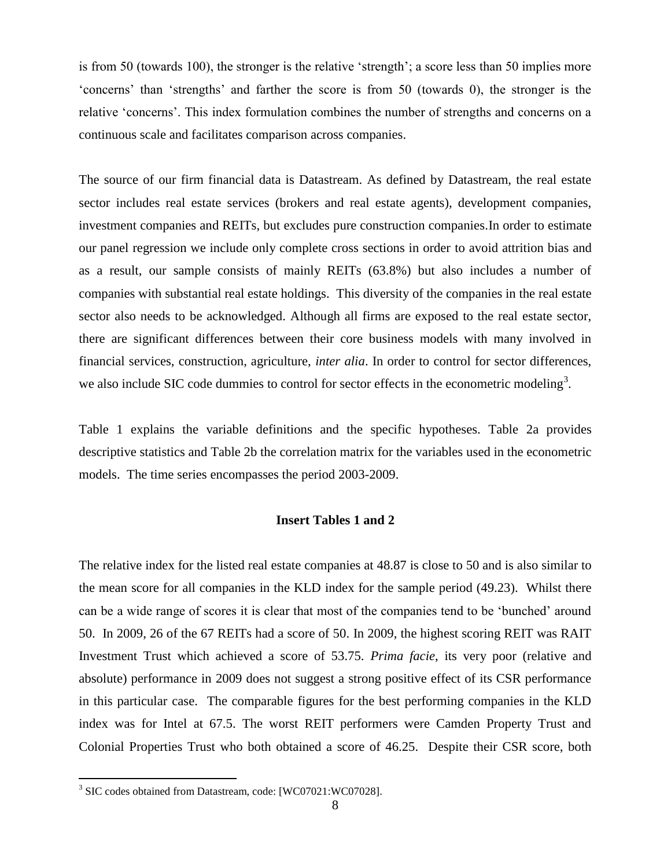is from 50 (towards 100), the stronger is the relative "strength"; a score less than 50 implies more "concerns" than "strengths" and farther the score is from 50 (towards 0), the stronger is the relative "concerns". This index formulation combines the number of strengths and concerns on a continuous scale and facilitates comparison across companies.

The source of our firm financial data is Datastream. As defined by Datastream, the real estate sector includes real estate services (brokers and real estate agents), development companies, investment companies and REITs, but excludes pure construction companies.In order to estimate our panel regression we include only complete cross sections in order to avoid attrition bias and as a result, our sample consists of mainly REITs (63.8%) but also includes a number of companies with substantial real estate holdings. This diversity of the companies in the real estate sector also needs to be acknowledged. Although all firms are exposed to the real estate sector, there are significant differences between their core business models with many involved in financial services, construction, agriculture, *inter alia*. In order to control for sector differences, we also include SIC code dummies to control for sector effects in the econometric modeling<sup>3</sup>.

Table 1 explains the variable definitions and the specific hypotheses. Table 2a provides descriptive statistics and Table 2b the correlation matrix for the variables used in the econometric models. The time series encompasses the period 2003-2009.

#### **Insert Tables 1 and 2**

The relative index for the listed real estate companies at 48.87 is close to 50 and is also similar to the mean score for all companies in the KLD index for the sample period (49.23). Whilst there can be a wide range of scores it is clear that most of the companies tend to be "bunched" around 50. In 2009, 26 of the 67 REITs had a score of 50. In 2009, the highest scoring REIT was RAIT Investment Trust which achieved a score of 53.75. *Prima facie*, its very poor (relative and absolute) performance in 2009 does not suggest a strong positive effect of its CSR performance in this particular case. The comparable figures for the best performing companies in the KLD index was for Intel at 67.5. The worst REIT performers were Camden Property Trust and Colonial Properties Trust who both obtained a score of 46.25. Despite their CSR score, both

 3 SIC codes obtained from Datastream, code: [WC07021:WC07028].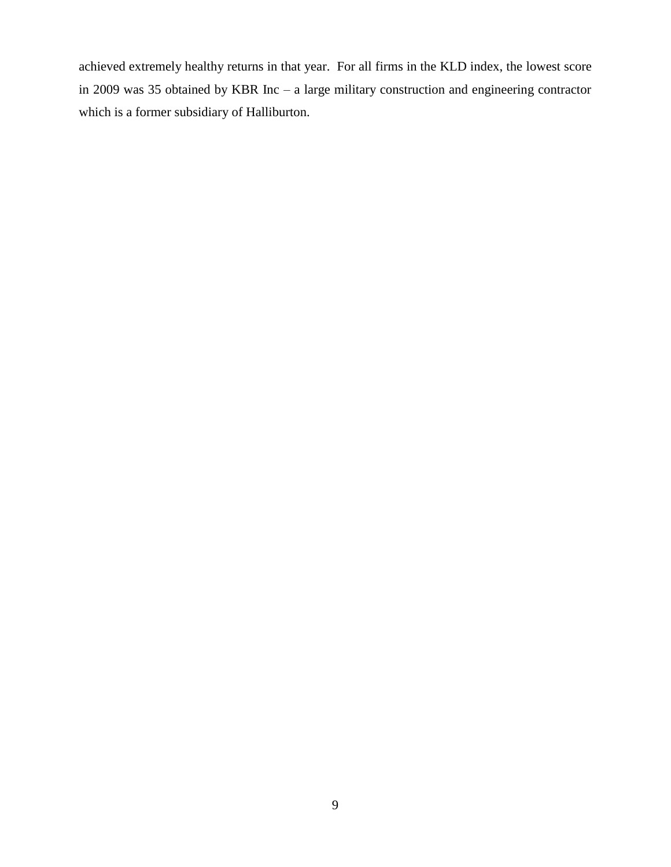achieved extremely healthy returns in that year. For all firms in the KLD index, the lowest score in 2009 was 35 obtained by KBR Inc – a large military construction and engineering contractor which is a former subsidiary of Halliburton.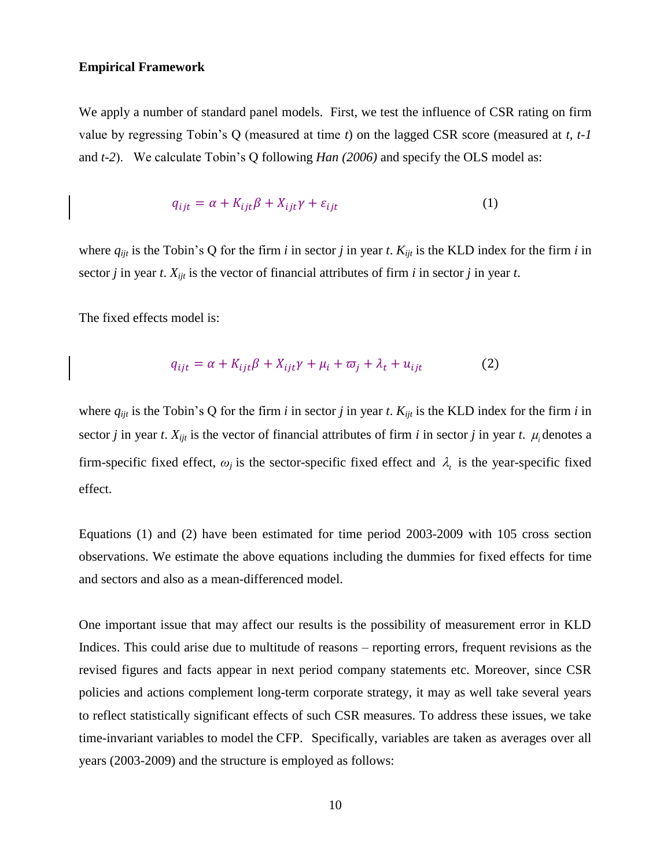#### **Empirical Framework**

We apply a number of standard panel models. First, we test the influence of CSR rating on firm value by regressing Tobin"s Q (measured at time *t*) on the lagged CSR score (measured at *t*, *t-1* and *t-2*). We calculate Tobin"s Q following *Han (2006)* and specify the OLS model as:

$$
q_{ijt} = \alpha + K_{ijt}\beta + X_{ijt}\gamma + \varepsilon_{ijt}
$$
 (1)

where  $q_{ijt}$  is the Tobin's Q for the firm *i* in sector *j* in year *t*.  $K_{ijt}$  is the KLD index for the firm *i* in sector *j* in year *t*.  $X_{ijt}$  is the vector of financial attributes of firm *i* in sector *j* in year *t*.

The fixed effects model is:

$$
q_{ijt} = \alpha + K_{ijt}\beta + X_{ijt}\gamma + \mu_i + \varpi_i + \lambda_t + u_{ijt}
$$
 (2)

where  $q_{ijt}$  is the Tobin's Q for the firm *i* in sector *j* in year *t*.  $K_{ijt}$  is the KLD index for the firm *i* in sector *j* in year *t*.  $X_{ijt}$  is the vector of financial attributes of firm *i* in sector *j* in year *t*.  $\mu_i$  denotes a firm-specific fixed effect,  $\omega_j$  is the sector-specific fixed effect and  $\lambda_i$  is the year-specific fixed effect.

Equations (1) and (2) have been estimated for time period 2003-2009 with 105 cross section observations. We estimate the above equations including the dummies for fixed effects for time and sectors and also as a mean-differenced model.

One important issue that may affect our results is the possibility of measurement error in KLD Indices. This could arise due to multitude of reasons – reporting errors, frequent revisions as the revised figures and facts appear in next period company statements etc. Moreover, since CSR policies and actions complement long-term corporate strategy, it may as well take several years to reflect statistically significant effects of such CSR measures. To address these issues, we take time-invariant variables to model the CFP. Specifically, variables are taken as averages over all years (2003-2009) and the structure is employed as follows: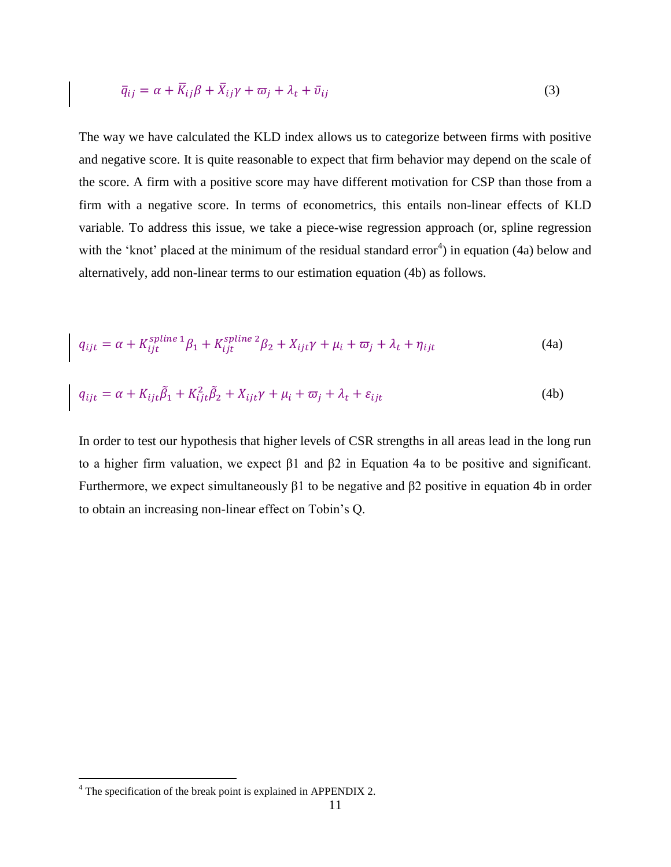$$
\overline{q}_{ij} = \alpha + \overline{K}_{ij}\beta + \overline{X}_{ij}\gamma + \overline{\omega}_j + \lambda_t + \overline{\nu}_{ij}
$$
\n(3)

The way we have calculated the KLD index allows us to categorize between firms with positive and negative score. It is quite reasonable to expect that firm behavior may depend on the scale of the score. A firm with a positive score may have different motivation for CSP than those from a firm with a negative score. In terms of econometrics, this entails non-linear effects of KLD variable. To address this issue, we take a piece-wise regression approach (or, spline regression with the 'knot' placed at the minimum of the residual standard error<sup>4</sup>) in equation (4a) below and alternatively, add non-linear terms to our estimation equation (4b) as follows.

$$
q_{ijt} = \alpha + K_{ijt}^{spline 1} \beta_1 + K_{ijt}^{spline 2} \beta_2 + X_{ijt} \gamma + \mu_i + \varpi_j + \lambda_t + \eta_{ijt}
$$
(4a)

$$
q_{ijt} = \alpha + K_{ijt}\tilde{\beta}_1 + K_{ijt}^2\tilde{\beta}_2 + X_{ijt}\gamma + \mu_i + \varpi_j + \lambda_t + \varepsilon_{ijt}
$$
\n(4b)

In order to test our hypothesis that higher levels of CSR strengths in all areas lead in the long run to a higher firm valuation, we expect β1 and β2 in Equation 4a to be positive and significant. Furthermore, we expect simultaneously β1 to be negative and β2 positive in equation 4b in order to obtain an increasing non-linear effect on Tobin"s Q.

 $\overline{a}$ 

 $4$  The specification of the break point is explained in APPENDIX 2.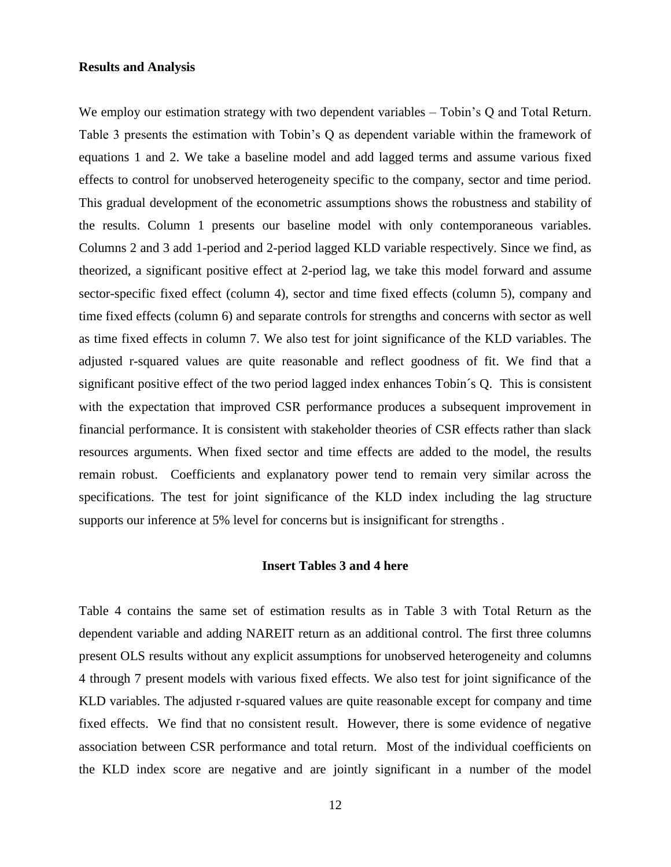#### **Results and Analysis**

We employ our estimation strategy with two dependent variables – Tobin's Q and Total Return. Table 3 presents the estimation with Tobin"s Q as dependent variable within the framework of equations 1 and 2. We take a baseline model and add lagged terms and assume various fixed effects to control for unobserved heterogeneity specific to the company, sector and time period. This gradual development of the econometric assumptions shows the robustness and stability of the results. Column 1 presents our baseline model with only contemporaneous variables. Columns 2 and 3 add 1-period and 2-period lagged KLD variable respectively. Since we find, as theorized, a significant positive effect at 2-period lag, we take this model forward and assume sector-specific fixed effect (column 4), sector and time fixed effects (column 5), company and time fixed effects (column 6) and separate controls for strengths and concerns with sector as well as time fixed effects in column 7. We also test for joint significance of the KLD variables. The adjusted r-squared values are quite reasonable and reflect goodness of fit. We find that a significant positive effect of the two period lagged index enhances Tobin´s Q. This is consistent with the expectation that improved CSR performance produces a subsequent improvement in financial performance. It is consistent with stakeholder theories of CSR effects rather than slack resources arguments. When fixed sector and time effects are added to the model, the results remain robust. Coefficients and explanatory power tend to remain very similar across the specifications. The test for joint significance of the KLD index including the lag structure supports our inference at 5% level for concerns but is insignificant for strengths .

#### **Insert Tables 3 and 4 here**

Table 4 contains the same set of estimation results as in Table 3 with Total Return as the dependent variable and adding NAREIT return as an additional control. The first three columns present OLS results without any explicit assumptions for unobserved heterogeneity and columns 4 through 7 present models with various fixed effects. We also test for joint significance of the KLD variables. The adjusted r-squared values are quite reasonable except for company and time fixed effects. We find that no consistent result. However, there is some evidence of negative association between CSR performance and total return. Most of the individual coefficients on the KLD index score are negative and are jointly significant in a number of the model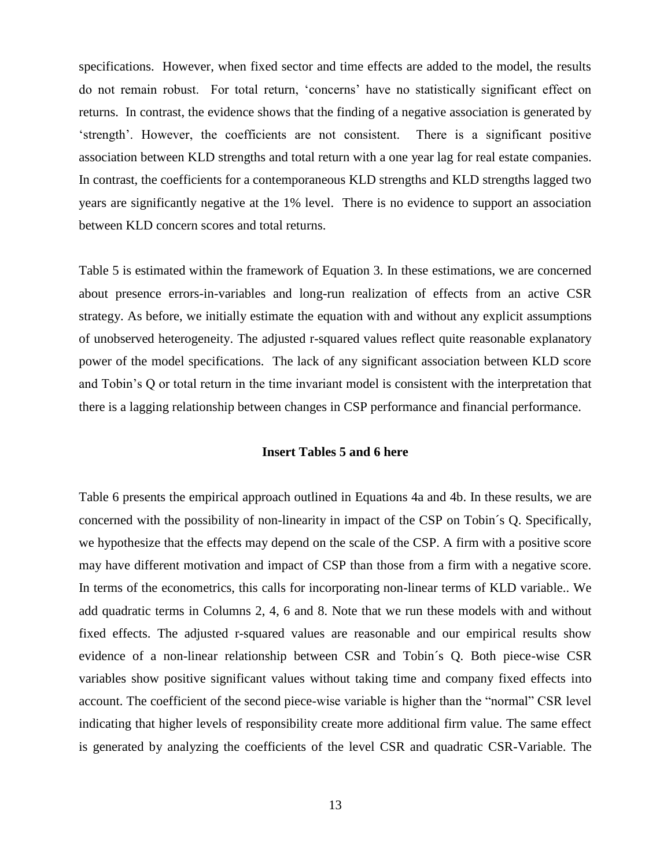specifications. However, when fixed sector and time effects are added to the model, the results do not remain robust. For total return, "concerns" have no statistically significant effect on returns. In contrast, the evidence shows that the finding of a negative association is generated by "strength". However, the coefficients are not consistent. There is a significant positive association between KLD strengths and total return with a one year lag for real estate companies. In contrast, the coefficients for a contemporaneous KLD strengths and KLD strengths lagged two years are significantly negative at the 1% level. There is no evidence to support an association between KLD concern scores and total returns.

Table 5 is estimated within the framework of Equation 3. In these estimations, we are concerned about presence errors-in-variables and long-run realization of effects from an active CSR strategy. As before, we initially estimate the equation with and without any explicit assumptions of unobserved heterogeneity. The adjusted r-squared values reflect quite reasonable explanatory power of the model specifications. The lack of any significant association between KLD score and Tobin"s Q or total return in the time invariant model is consistent with the interpretation that there is a lagging relationship between changes in CSP performance and financial performance.

# **Insert Tables 5 and 6 here**

Table 6 presents the empirical approach outlined in Equations 4a and 4b. In these results, we are concerned with the possibility of non-linearity in impact of the CSP on Tobin´s Q. Specifically, we hypothesize that the effects may depend on the scale of the CSP. A firm with a positive score may have different motivation and impact of CSP than those from a firm with a negative score. In terms of the econometrics, this calls for incorporating non-linear terms of KLD variable.. We add quadratic terms in Columns 2, 4, 6 and 8. Note that we run these models with and without fixed effects. The adjusted r-squared values are reasonable and our empirical results show evidence of a non-linear relationship between CSR and Tobin´s Q. Both piece-wise CSR variables show positive significant values without taking time and company fixed effects into account. The coefficient of the second piece-wise variable is higher than the "normal" CSR level indicating that higher levels of responsibility create more additional firm value. The same effect is generated by analyzing the coefficients of the level CSR and quadratic CSR-Variable. The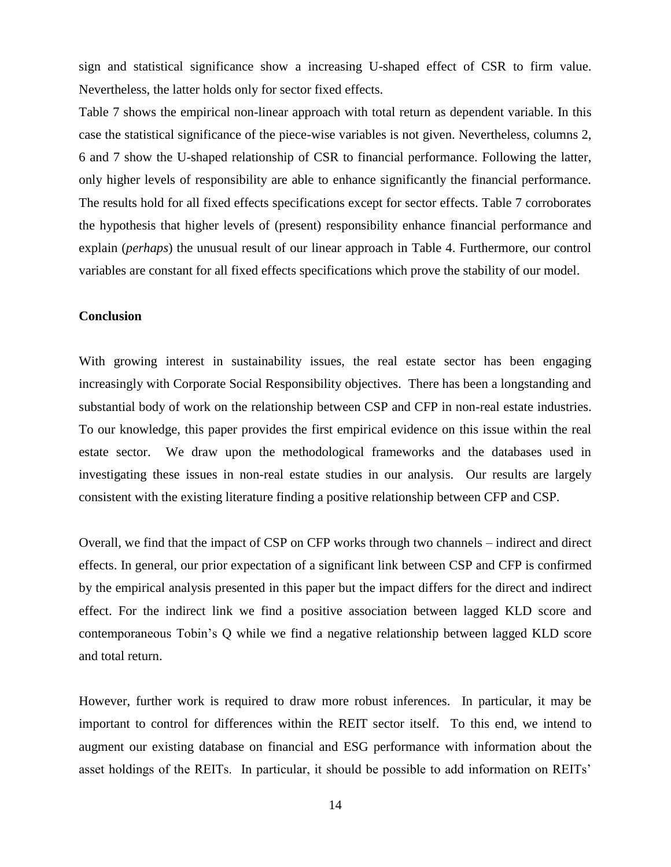sign and statistical significance show a increasing U-shaped effect of CSR to firm value. Nevertheless, the latter holds only for sector fixed effects.

Table 7 shows the empirical non-linear approach with total return as dependent variable. In this case the statistical significance of the piece-wise variables is not given. Nevertheless, columns 2, 6 and 7 show the U-shaped relationship of CSR to financial performance. Following the latter, only higher levels of responsibility are able to enhance significantly the financial performance. The results hold for all fixed effects specifications except for sector effects. Table 7 corroborates the hypothesis that higher levels of (present) responsibility enhance financial performance and explain (*perhaps*) the unusual result of our linear approach in Table 4. Furthermore, our control variables are constant for all fixed effects specifications which prove the stability of our model.

#### **Conclusion**

With growing interest in sustainability issues, the real estate sector has been engaging increasingly with Corporate Social Responsibility objectives. There has been a longstanding and substantial body of work on the relationship between CSP and CFP in non-real estate industries. To our knowledge, this paper provides the first empirical evidence on this issue within the real estate sector. We draw upon the methodological frameworks and the databases used in investigating these issues in non-real estate studies in our analysis. Our results are largely consistent with the existing literature finding a positive relationship between CFP and CSP.

Overall, we find that the impact of CSP on CFP works through two channels – indirect and direct effects. In general, our prior expectation of a significant link between CSP and CFP is confirmed by the empirical analysis presented in this paper but the impact differs for the direct and indirect effect. For the indirect link we find a positive association between lagged KLD score and contemporaneous Tobin"s Q while we find a negative relationship between lagged KLD score and total return.

However, further work is required to draw more robust inferences. In particular, it may be important to control for differences within the REIT sector itself. To this end, we intend to augment our existing database on financial and ESG performance with information about the asset holdings of the REITs. In particular, it should be possible to add information on REITs'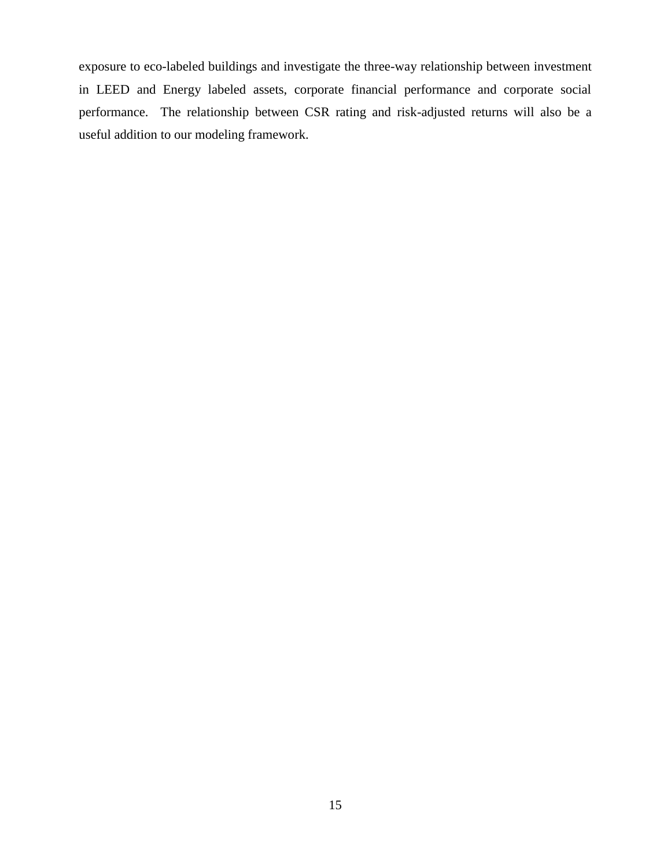exposure to eco-labeled buildings and investigate the three-way relationship between investment in LEED and Energy labeled assets, corporate financial performance and corporate social performance. The relationship between CSR rating and risk-adjusted returns will also be a useful addition to our modeling framework.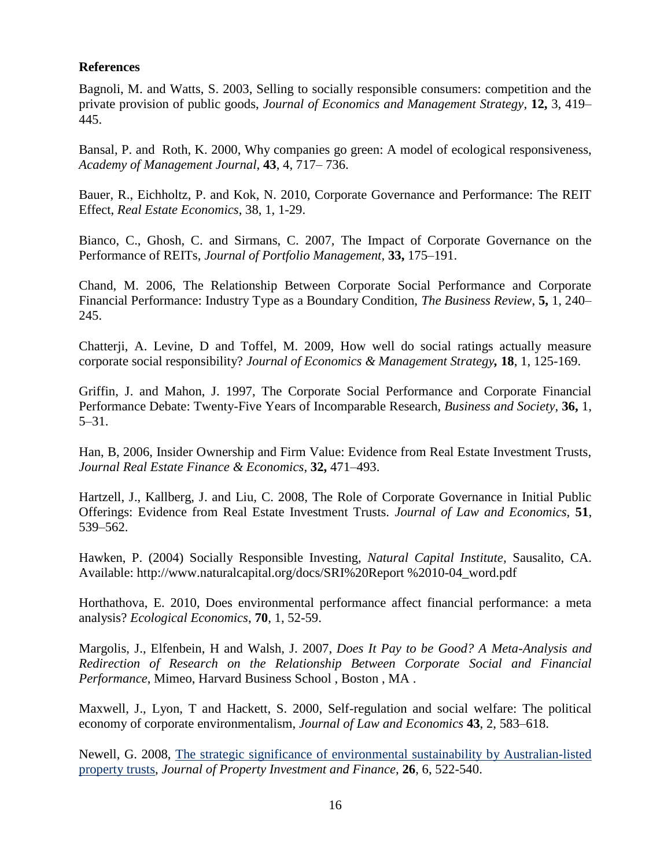# **References**

Bagnoli, M. and Watts, S. 2003, Selling to socially responsible consumers: competition and the private provision of public goods, *Journal of Economics and Management Strategy*, **12,** 3, 419– 445.

Bansal, P. and Roth, K. 2000, Why companies go green: A model of ecological responsiveness, *Academy of Management Journal*, **43**, 4, 717– 736.

Bauer, R., Eichholtz, P. and Kok, N. 2010, Corporate Governance and Performance: The REIT Effect, *Real Estate Economics*, 38, 1, 1-29.

Bianco, C., Ghosh, C. and Sirmans, C. 2007, The Impact of Corporate Governance on the Performance of REITs, *Journal of Portfolio Management,* **33,** 175–191.

Chand, M. 2006, The Relationship Between Corporate Social Performance and Corporate Financial Performance: Industry Type as a Boundary Condition, *The Business Review*, **5,** 1, 240– 245.

Chatterji, A. Levine, D and Toffel, M. 2009, How well do social ratings actually measure corporate social responsibility? *Journal of Economics & Management Strategy,* **18**, 1, 125-169.

Griffin, J. and Mahon, J. 1997, The Corporate Social Performance and Corporate Financial Performance Debate: Twenty-Five Years of Incomparable Research, *Business and Society*, **36,** 1, 5–31.

Han, B, 2006, Insider Ownership and Firm Value: Evidence from Real Estate Investment Trusts, *Journal Real Estate Finance & Economics*, **32,** 471–493.

Hartzell, J., Kallberg, J. and Liu, C. 2008, The Role of Corporate Governance in Initial Public Offerings: Evidence from Real Estate Investment Trusts. *Journal of Law and Economics,* **51**, 539–562.

Hawken, P. (2004) Socially Responsible Investing, *Natural Capital Institute,* Sausalito, CA. Available: http://www.naturalcapital.org/docs/SRI%20Report %2010-04\_word.pdf

Horthathova, E. 2010, Does environmental performance affect financial performance: a meta analysis? *[Ecological Economics](http://www.sciencedirect.com/science/journal/09218009)*, **70**, 1, 52-59.

Margolis, J., Elfenbein, H and Walsh, J. 2007, *Does It Pay to be Good? A Meta-Analysis and Redirection of Research on the Relationship Between Corporate Social and Financial Performance*, Mimeo, Harvard Business School , Boston , MA .

Maxwell, J., Lyon, T and Hackett, S. 2000, Self-regulation and social welfare: The political economy of corporate environmentalism, *Journal of Law and Economics* **43**, 2, 583–618.

Newell, G. 2008, [The strategic significance of environmental sustainability by Australian-listed](http://assets.emeraldinsight.com/Insight/viewContentItem.do;jsessionid=3C5C968E7E917C73FEBFFE96A2151B5F?contentType=Article&hdAction=lnkhtml&contentId=1747107&history=false)  [property trusts,](http://assets.emeraldinsight.com/Insight/viewContentItem.do;jsessionid=3C5C968E7E917C73FEBFFE96A2151B5F?contentType=Article&hdAction=lnkhtml&contentId=1747107&history=false) *Journal of Property Investment and Finance*, **26**, 6, 522-540.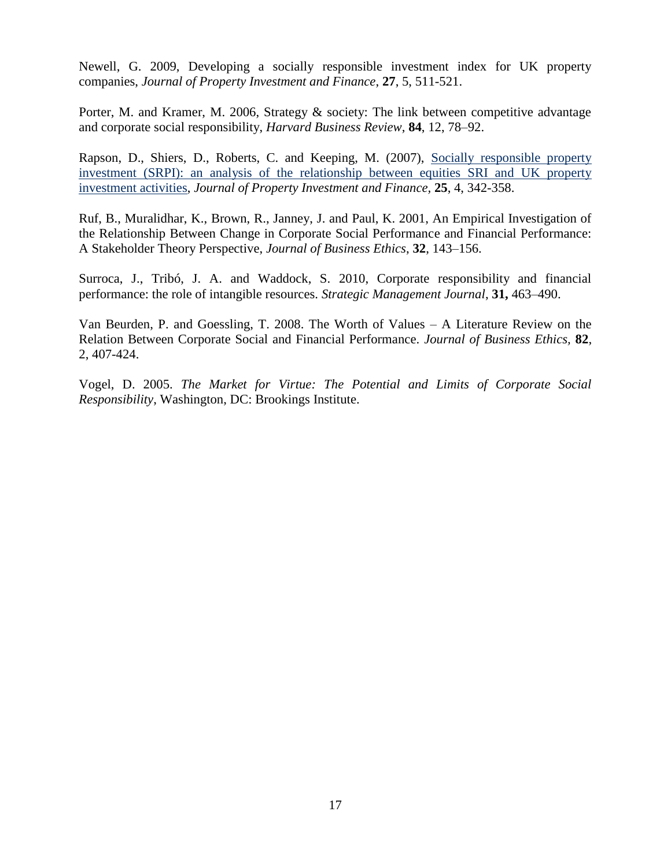Newell, G. 2009, Developing a socially responsible investment index for UK property companies, *Journal of Property Investment and Finance*, **27**, 5, 511-521.

Porter, M. and Kramer, M. 2006, Strategy & society: The link between competitive advantage and corporate social responsibility, *Harvard Business Review*, **84**, 12, 78–92.

Rapson, D., Shiers, D., Roberts, C. and Keeping, M. (2007), [Socially responsible property](http://www.emeraldinsight.com/Insight/viewContentItem.do;jsessionid=6CAE17EC02A5489EEBAD602B0093E86C?contentType=Article&hdAction=lnkhtml&contentId=1615995)  [investment \(SRPI\): an analysis of the relationship between equities SRI and UK property](http://www.emeraldinsight.com/Insight/viewContentItem.do;jsessionid=6CAE17EC02A5489EEBAD602B0093E86C?contentType=Article&hdAction=lnkhtml&contentId=1615995)  [investment activities,](http://www.emeraldinsight.com/Insight/viewContentItem.do;jsessionid=6CAE17EC02A5489EEBAD602B0093E86C?contentType=Article&hdAction=lnkhtml&contentId=1615995) *Journal of Property Investment and Finance,* **25**, 4, 342-358.

Ruf, B., Muralidhar, K., Brown, R., Janney, J. and Paul, K. 2001, An Empirical Investigation of the Relationship Between Change in Corporate Social Performance and Financial Performance: A Stakeholder Theory Perspective, *Journal of Business Ethics*, **32**, 143–156.

Surroca, J., Tribó, J. A. and Waddock, S. 2010, Corporate responsibility and financial performance: the role of intangible resources. *Strategic Management Journal*, **31,** 463–490.

Van Beurden, P. and Goessling, T. 2008. The Worth of Values – A Literature Review on the Relation Between Corporate Social and Financial Performance. *Journal of Business Ethics,* **82**, 2, 407-424.

Vogel, D. 2005. *The Market for Virtue: The Potential and Limits of Corporate Social Responsibility*, Washington, DC: Brookings Institute.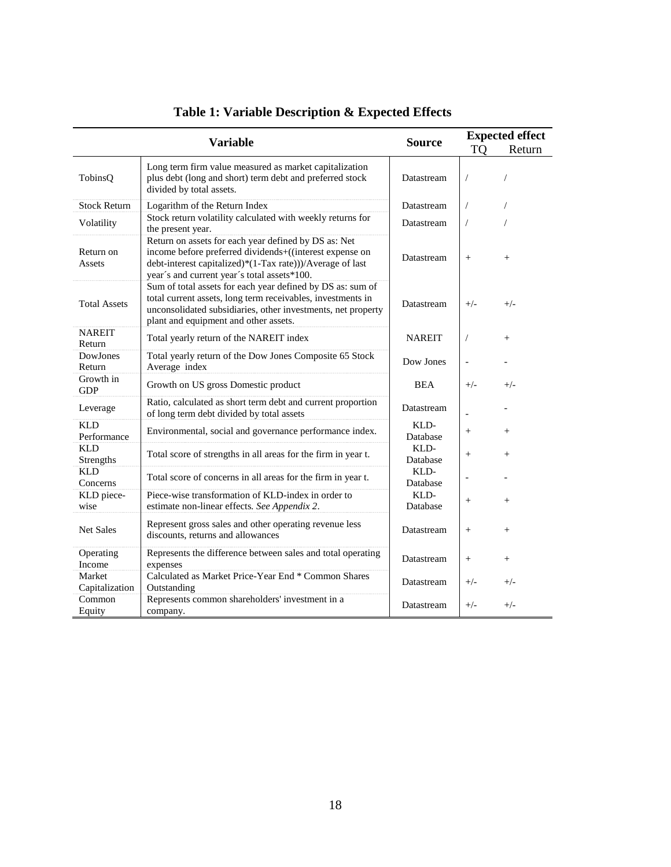|                           | <b>Variable</b>                                                                                                                                                                                                                    | <b>Source</b>    | <b>Expected effect</b> |                |  |
|---------------------------|------------------------------------------------------------------------------------------------------------------------------------------------------------------------------------------------------------------------------------|------------------|------------------------|----------------|--|
|                           |                                                                                                                                                                                                                                    |                  | TO                     | Return         |  |
| TobinsQ                   | Long term firm value measured as market capitalization<br>plus debt (long and short) term debt and preferred stock<br>divided by total assets.                                                                                     | Datastream       | 7                      | $\overline{1}$ |  |
| <b>Stock Return</b>       | Logarithm of the Return Index                                                                                                                                                                                                      | Datastream       | $\sqrt{2}$             | $\sqrt{2}$     |  |
| Volatility                | Stock return volatility calculated with weekly returns for<br>the present year.                                                                                                                                                    | Datastream       | $\sqrt{2}$             | $\overline{1}$ |  |
| Return on<br>Assets       | Return on assets for each year defined by DS as: Net<br>income before preferred dividends+((interest expense on<br>debt-interest capitalized)*(1-Tax rate)))/Average of last<br>year's and current year's total assets*100.        | Datastream       | $+$                    | $^{+}$         |  |
| <b>Total Assets</b>       | Sum of total assets for each year defined by DS as: sum of<br>total current assets, long term receivables, investments in<br>unconsolidated subsidiaries, other investments, net property<br>plant and equipment and other assets. | Datastream       | $+/-$                  | $+/-$          |  |
| <b>NAREIT</b><br>Return   | Total yearly return of the NAREIT index                                                                                                                                                                                            | <b>NAREIT</b>    | $\sqrt{2}$             | $^{+}$         |  |
| DowJones<br>Return        | Total yearly return of the Dow Jones Composite 65 Stock<br>Average index                                                                                                                                                           | Dow Jones        |                        |                |  |
| Growth in<br><b>GDP</b>   | Growth on US gross Domestic product                                                                                                                                                                                                | BEA              | $+/-$                  | $+/-$          |  |
| Leverage                  | Ratio, calculated as short term debt and current proportion<br>of long term debt divided by total assets                                                                                                                           | Datastream       |                        |                |  |
| <b>KLD</b><br>Performance | Environmental, social and governance performance index.                                                                                                                                                                            | KLD-<br>Database | $\! + \!\!\!\!$        | $+$            |  |
| <b>KLD</b><br>Strengths   | Total score of strengths in all areas for the firm in year t.                                                                                                                                                                      | KLD-<br>Database | $^{+}$                 | $^{+}$         |  |
| <b>KLD</b><br>Concerns    | Total score of concerns in all areas for the firm in year t.                                                                                                                                                                       | KLD-<br>Database |                        |                |  |
| KLD piece-<br>wise        | Piece-wise transformation of KLD-index in order to<br>estimate non-linear effects. See Appendix 2.                                                                                                                                 | KLD-<br>Database | $\qquad \qquad +$      | $^{+}$         |  |
| <b>Net Sales</b>          | Represent gross sales and other operating revenue less<br>discounts, returns and allowances                                                                                                                                        | Datastream       | $\qquad \qquad +$      | $^{+}$         |  |
| Operating<br>Income       | Represents the difference between sales and total operating<br>expenses                                                                                                                                                            | Datastream       | $\qquad \qquad +$      | $^{+}$         |  |
| Market<br>Capitalization  | Calculated as Market Price-Year End * Common Shares<br>Outstanding                                                                                                                                                                 | Datastream       | $+/-$                  | $+/-$          |  |
| Common<br>Equity          | Represents common shareholders' investment in a<br>company.                                                                                                                                                                        | Datastream       | $+/-$                  | $+/-$          |  |

# **Table 1: Variable Description & Expected Effects**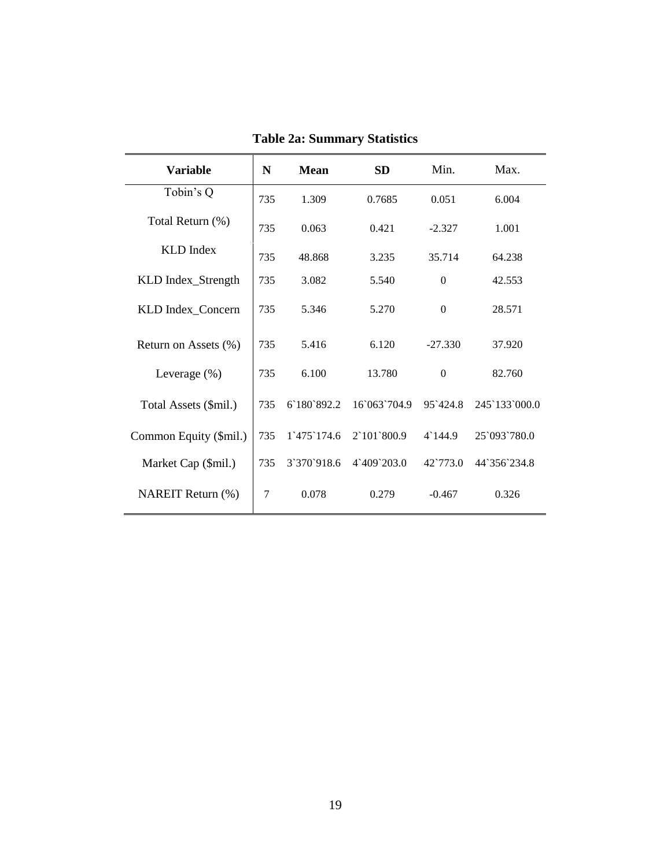| <b>Variable</b>        | N   | <b>Mean</b>                 | SD                          | Min.             | Max.          |
|------------------------|-----|-----------------------------|-----------------------------|------------------|---------------|
| Tobin's Q              | 735 | 1.309                       | 0.7685                      | 0.051            | 6.004         |
| Total Return (%)       | 735 | 0.063                       | 0.421                       | $-2.327$         | 1.001         |
| <b>KLD</b> Index       | 735 | 48.868                      | 3.235                       | 35.714           | 64.238        |
| KLD Index_Strength     | 735 | 3.082                       | 5.540                       | $\Omega$         | 42.553        |
| KLD Index_Concern      | 735 | 5.346                       | 5.270                       | $\Omega$         | 28.571        |
| Return on Assets (%)   | 735 | 5.416                       | 6.120                       | $-27.330$        | 37.920        |
| Leverage $(\%)$        | 735 | 6.100                       | 13.780                      | $\Omega$         | 82.760        |
| Total Assets (\$mil.)  | 735 | 6 180 892.2                 | 16'063'704.9                | 95`424.8         | 245 133 000.0 |
| Common Equity (\$mil.) | 735 | $1^{\circ}475^{\circ}174.6$ | $2^{\circ}101^{\circ}800.9$ | $4^{\circ}144.9$ | 25`093`780.0  |
| Market Cap (\$mil.)    | 735 | 3'370'918.6                 | $4^{\circ}409^{\circ}203.0$ | 42.773.0         | 44 356 234.8  |
| NAREIT Return (%)      | 7   | 0.078                       | 0.279                       | $-0.467$         | 0.326         |

**Table 2a: Summary Statistics**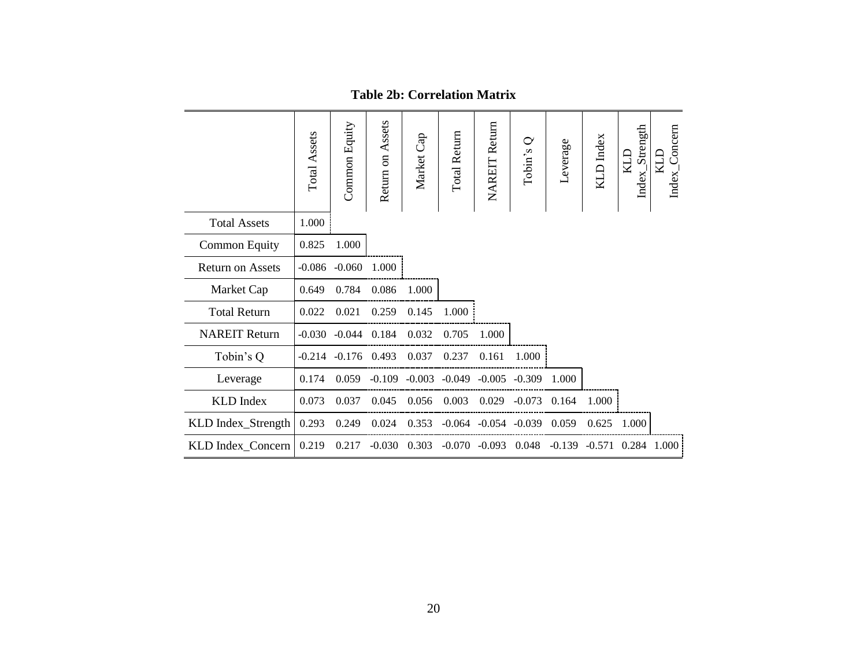|                         | Total Assets | Common Equity | Return on Assets | Market Cap | Total Return | <b>NAREIT Return</b>       | $\mathbf{\circ}$<br>Tobin's | Leverage | KLD Index | Index_Strength<br><b>CTN</b> | Index_Concern<br>KLD |
|-------------------------|--------------|---------------|------------------|------------|--------------|----------------------------|-----------------------------|----------|-----------|------------------------------|----------------------|
| <b>Total Assets</b>     | 1.000        |               |                  |            |              |                            |                             |          |           |                              |                      |
| <b>Common Equity</b>    | 0.825        | 1.000         |                  |            |              |                            |                             |          |           |                              |                      |
| <b>Return on Assets</b> | $-0.086$     | $-0.060$      | 1.000            |            |              |                            |                             |          |           |                              |                      |
| Market Cap              | 0.649        | 0.784         | 0.086            | 1.000      |              |                            |                             |          |           |                              |                      |
| <b>Total Return</b>     | 0.022        | 0.021         | 0.259            | 0.145      | 1.000        |                            |                             |          |           |                              |                      |
| <b>NAREIT Return</b>    | $-0.030$     | $-0.044$      | 0.184            | 0.032      | 0.705        | 1.000                      |                             |          |           |                              |                      |
| Tobin's Q               | $-0.214$     | $-0.176$      | 0.493            | 0.037      | 0.237        | 0.161                      | 1.000                       |          |           |                              |                      |
| Leverage                | 0.174        | 0.059         | $-0.109$         | $-0.003$   | $-0.049$     | $-0.005$                   | $-0.309$                    | 1.000    |           |                              |                      |
| <b>KLD</b> Index        | 0.073        | 0.037         | 0.045            | 0.056      | 0.003        | 0.029                      | $-0.073$                    | 0.164    | 1.000     |                              |                      |
| KLD Index_Strength      | 0.293        | 0.249         | 0.024            | 0.353      |              | $-0.064$ $-0.054$ $-0.039$ |                             | 0.059    | 0.625     | 1.000                        |                      |
| KLD Index_Concern       | 0.219        | 0.217         | $-0.030$         | 0.303      | $-0.070$     | $-0.093$                   | 0.048                       | $-0.139$ | $-0.571$  |                              | 0.284 1.000          |

**Table 2b: Correlation Matrix**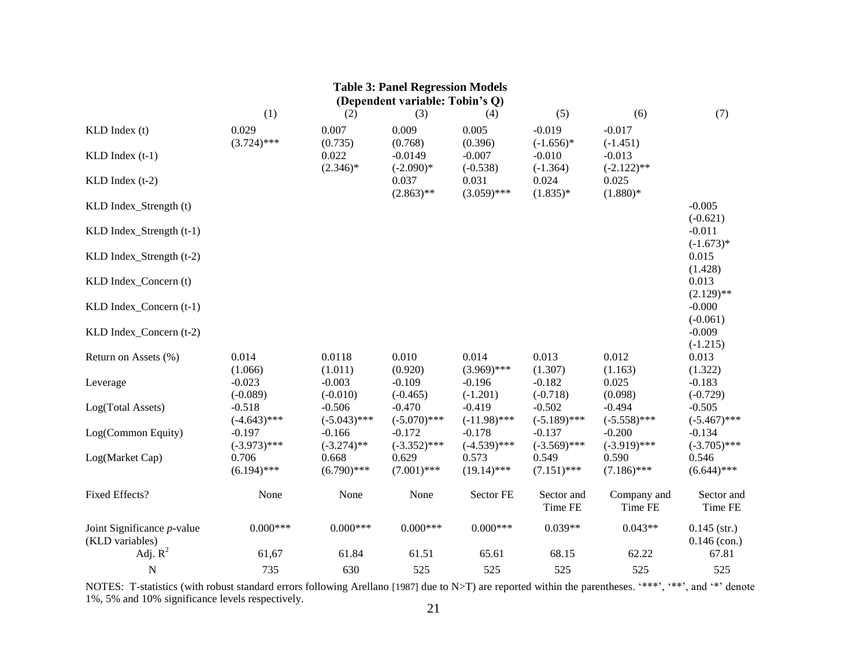| <b>Table 3: Panel Regression Models</b><br>(Dependent variable: Tobin's Q) |                            |                            |                            |                            |                            |                            |                                  |  |  |  |
|----------------------------------------------------------------------------|----------------------------|----------------------------|----------------------------|----------------------------|----------------------------|----------------------------|----------------------------------|--|--|--|
|                                                                            | (1)                        | (2)                        | (3)                        | (4)                        | (5)                        | (6)                        | (7)                              |  |  |  |
| KLD Index (t)                                                              | 0.029<br>$(3.724)$ ***     | 0.007<br>(0.735)           | 0.009<br>(0.768)           | 0.005<br>(0.396)           | $-0.019$<br>$(-1.656)*$    | $-0.017$<br>$(-1.451)$     |                                  |  |  |  |
| $KLD$ Index $(t-1)$                                                        |                            | 0.022<br>$(2.346)*$        | $-0.0149$<br>$(-2.090)*$   | $-0.007$<br>$(-0.538)$     | $-0.010$<br>$(-1.364)$     | $-0.013$<br>$(-2.122)$ **  |                                  |  |  |  |
| $KLD$ Index $(t-2)$                                                        |                            |                            | 0.037<br>$(2.863)$ **      | 0.031<br>$(3.059)$ ***     | 0.024<br>$(1.835)*$        | 0.025<br>$(1.880)*$        |                                  |  |  |  |
| KLD Index_Strength (t)                                                     |                            |                            |                            |                            |                            |                            | $-0.005$<br>$(-0.621)$           |  |  |  |
| KLD Index_Strength (t-1)                                                   |                            |                            |                            |                            |                            |                            | $-0.011$<br>$(-1.673)*$          |  |  |  |
| KLD Index_Strength (t-2)                                                   |                            |                            |                            |                            |                            |                            | 0.015<br>(1.428)                 |  |  |  |
| KLD Index_Concern (t)                                                      |                            |                            |                            |                            |                            |                            | 0.013<br>$(2.129)$ **            |  |  |  |
| KLD Index_Concern (t-1)                                                    |                            |                            |                            |                            |                            |                            | $-0.000$<br>$(-0.061)$           |  |  |  |
| KLD Index_Concern (t-2)                                                    |                            |                            |                            |                            |                            |                            | $-0.009$<br>$(-1.215)$           |  |  |  |
| Return on Assets (%)                                                       | 0.014<br>(1.066)           | 0.0118<br>(1.011)          | 0.010<br>(0.920)           | 0.014<br>$(3.969)$ ***     | 0.013<br>(1.307)           | 0.012<br>(1.163)           | 0.013<br>(1.322)                 |  |  |  |
| Leverage                                                                   | $-0.023$<br>$(-0.089)$     | $-0.003$<br>$(-0.010)$     | $-0.109$<br>$(-0.465)$     | $-0.196$<br>$(-1.201)$     | $-0.182$<br>$(-0.718)$     | 0.025<br>(0.098)           | $-0.183$<br>$(-0.729)$           |  |  |  |
| Log(Total Assets)                                                          | $-0.518$<br>$(-4.643)$ *** | $-0.506$<br>$(-5.043)$ *** | $-0.470$<br>$(-5.070)$ *** | $-0.419$<br>$(-11.98)$ *** | $-0.502$<br>$(-5.189)$ *** | $-0.494$<br>$(-5.558)$ *** | $-0.505$<br>$(-5.467)$ ***       |  |  |  |
| Log(Common Equity)                                                         | $-0.197$<br>$(-3.973)$ *** | $-0.166$<br>$(-3.274)$ **  | $-0.172$<br>$(-3.352)$ *** | $-0.178$<br>$(-4.539)$ *** | $-0.137$<br>$(-3.569)$ *** | $-0.200$<br>$(-3.919)$ *** | $-0.134$<br>$(-3.705)$ ***       |  |  |  |
| Log(Market Cap)                                                            | 0.706<br>$(6.194)$ ***     | 0.668<br>$(6.790)$ ***     | 0.629<br>$(7.001)$ ***     | 0.573<br>$(19.14)$ ***     | 0.549<br>$(7.151)$ ***     | 0.590<br>$(7.186)$ ***     | 0.546<br>$(6.644)$ ***           |  |  |  |
| Fixed Effects?                                                             | None                       | None                       | None                       | Sector FE                  | Sector and<br>Time FE      | Company and<br>Time FE     | Sector and<br>Time FE            |  |  |  |
| Joint Significance $p$ -value<br>(KLD variables)                           | $0.000***$                 | $0.000***$                 | $0.000***$                 | $0.000***$                 | $0.039**$                  | $0.043**$                  | $0.145$ (str.)<br>$0.146$ (con.) |  |  |  |
| Adj. $R^2$                                                                 | 61,67                      | 61.84                      | 61.51                      | 65.61                      | 68.15                      | 62.22                      | 67.81                            |  |  |  |
| N                                                                          | 735                        | 630                        | 525                        | 525                        | 525                        | 525                        | 525                              |  |  |  |

NOTES: T-statistics (with robust standard errors following Arellano [1987] due to N>T) are reported within the parentheses. "\*\*\*, "\*\*, and "\*' denote 1%, 5% and 10% significance levels respectively.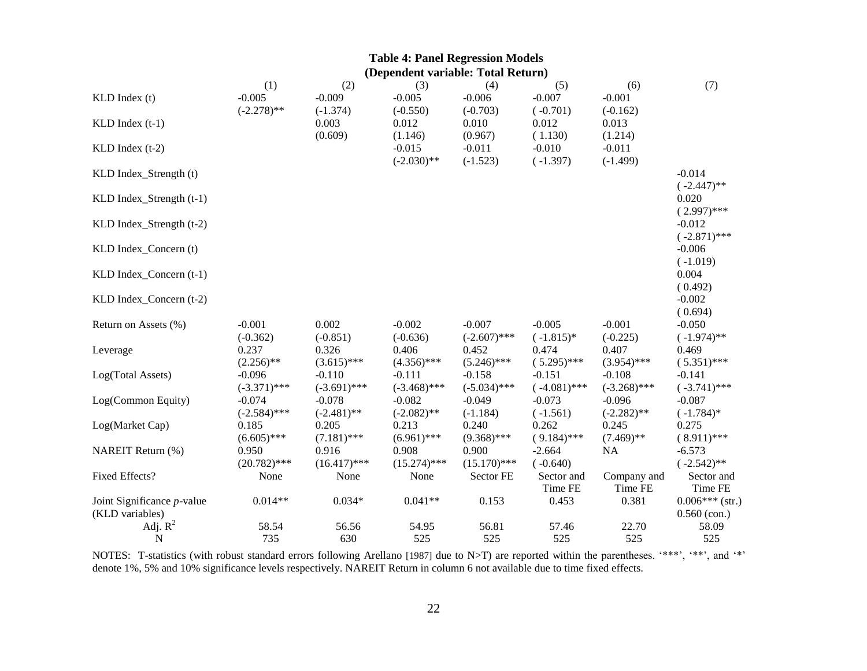| <b>Table 4: Panel Regression Models</b><br>(Dependent variable: Total Return) |                         |                        |                        |                        |                        |                        |                            |  |  |
|-------------------------------------------------------------------------------|-------------------------|------------------------|------------------------|------------------------|------------------------|------------------------|----------------------------|--|--|
|                                                                               |                         |                        |                        |                        |                        |                        |                            |  |  |
| KLD Index (t)                                                                 | $(-2.278)$ **           | $-0.009$<br>$(-1.374)$ | $-0.005$<br>$(-0.550)$ | $-0.006$<br>$(-0.703)$ | $-0.007$<br>$(-0.701)$ | $-0.001$<br>$(-0.162)$ |                            |  |  |
| $KLD$ Index $(t-1)$                                                           |                         | 0.003                  | 0.012                  | 0.010                  | 0.012                  | 0.013                  |                            |  |  |
|                                                                               |                         | (0.609)                | (1.146)                | (0.967)                | (1.130)                | (1.214)                |                            |  |  |
| $KLD$ Index $(t-2)$                                                           |                         |                        | $-0.015$               | $-0.011$               | $-0.010$               | $-0.011$               |                            |  |  |
|                                                                               |                         |                        | $(-2.030)$ **          | $(-1.523)$             | $(-1.397)$             | $(-1.499)$             |                            |  |  |
| KLD Index_Strength (t)                                                        |                         |                        |                        |                        |                        |                        | $-0.014$                   |  |  |
|                                                                               |                         |                        |                        |                        |                        |                        | $(-2.447)$ **              |  |  |
| KLD Index_Strength (t-1)                                                      |                         |                        |                        |                        |                        |                        | 0.020                      |  |  |
|                                                                               |                         |                        |                        |                        |                        |                        | $(2.997)$ ***              |  |  |
| KLD Index_Strength (t-2)                                                      |                         |                        |                        |                        |                        |                        | $-0.012$                   |  |  |
|                                                                               |                         |                        |                        |                        |                        |                        | $(-2.871)$ ***<br>$-0.006$ |  |  |
| KLD Index_Concern (t)                                                         |                         |                        |                        |                        |                        |                        | $(-1.019)$                 |  |  |
| KLD Index_Concern (t-1)                                                       |                         |                        |                        |                        |                        |                        | 0.004                      |  |  |
|                                                                               |                         |                        |                        |                        |                        |                        | (0.492)                    |  |  |
| KLD Index_Concern (t-2)                                                       |                         |                        |                        |                        |                        |                        | $-0.002$                   |  |  |
|                                                                               |                         |                        |                        |                        |                        |                        | (0.694)                    |  |  |
| Return on Assets (%)                                                          | $-0.001$                | 0.002                  | $-0.002$               | $-0.007$               | $-0.005$               | $-0.001$               | $-0.050$                   |  |  |
|                                                                               | $(-0.362)$              | $(-0.851)$             | $(-0.636)$             | $(-2.607)$ ***         | $(-1.815)*$            | $(-0.225)$             | $(-1.974)$ **              |  |  |
| Leverage                                                                      | 0.237                   | 0.326                  | 0.406                  | 0.452                  | 0.474                  | 0.407                  | 0.469                      |  |  |
|                                                                               | $(2.256)$ **            | $(3.615)$ ***          | $(4.356)$ ***          | $(5.246)$ ***          | $(.5.295)$ ***         | $(3.954)$ ***          | $(5.351)$ ***              |  |  |
| Log(Total Assets)                                                             | $-0.096$                | $-0.110$               | $-0.111$               | $-0.158$               | $-0.151$               | $-0.108$               | $-0.141$                   |  |  |
|                                                                               | $(-3.371)$ ***          | $(-3.691)$ ***         | $(-3.468)$ ***         | $(-5.034)$ ***         | $(-4.081)$ ***         | $(-3.268)$ ***         | $(-3.741)$ ***             |  |  |
| Log(Common Equity)                                                            | $-0.074$                | $-0.078$               | $-0.082$               | $-0.049$               | $-0.073$               | $-0.096$               | $-0.087$                   |  |  |
| Log(Market Cap)                                                               | $(-2.584)$ ***<br>0.185 | $(-2.481)$ **<br>0.205 | $(-2.082)$ **<br>0.213 | $(-1.184)$<br>0.240    | $(-1.561)$<br>0.262    | $(-2.282)$ **<br>0.245 | $(-1.784)$ *<br>0.275      |  |  |
|                                                                               | $(6.605)$ ***           | $(7.181)$ ***          | $(6.961)$ ***          | $(9.368)$ ***          | $(9.184)$ ***          | $(7.469)$ **           | $(.8.911)$ ***             |  |  |
| NAREIT Return (%)                                                             | 0.950                   | 0.916                  | 0.908                  | 0.900                  | $-2.664$               | NA                     | $-6.573$                   |  |  |
|                                                                               | $(20.782)$ ***          | $(16.417)$ ***         | $(15.274)$ ***         | $(15.170)$ ***         | $(-0.640)$             |                        | $(-2.542)$ **              |  |  |
| Fixed Effects?                                                                | None                    | None                   | None                   | Sector FE              | Sector and             | Company and            | Sector and                 |  |  |
|                                                                               |                         |                        |                        |                        | Time FE                | Time FE                | Time FE                    |  |  |
| Joint Significance <i>p</i> -value                                            | $0.014**$               | $0.034*$               | $0.041**$              | 0.153                  | 0.453                  | 0.381                  | $0.006***$ (str.)          |  |  |
| (KLD variables)                                                               |                         |                        |                        |                        |                        |                        | $0.560$ (con.)             |  |  |
| Adj. $R^2$                                                                    | 58.54                   | 56.56                  | 54.95                  | 56.81                  | 57.46                  | 22.70                  | 58.09                      |  |  |
| $\mathbf N$                                                                   | 735                     | 630                    | 525                    | 525                    | 525                    | 525                    | 525                        |  |  |

NOTES: T-statistics (with robust standard errors following Arellano [1987] due to N>T) are reported within the parentheses. "\*\*\*, "\*\*, and "\*" denote 1%, 5% and 10% significance levels respectively. NAREIT Return in column 6 not available due to time fixed effects.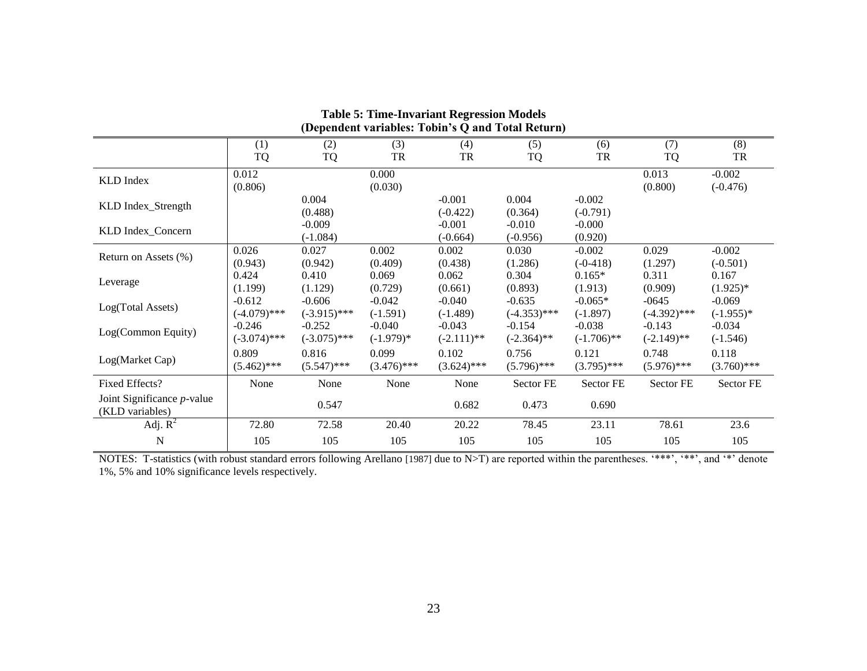| Tuble of Thile Invariant Iver Conton Mouch<br>(Dependent variables: Tobin's Q and Total Return) |                            |                            |                         |                           |                            |                           |                           |                         |  |
|-------------------------------------------------------------------------------------------------|----------------------------|----------------------------|-------------------------|---------------------------|----------------------------|---------------------------|---------------------------|-------------------------|--|
|                                                                                                 | (1)<br>TQ                  | (2)<br>TQ                  | (3)<br>TR               | (4)<br>TR                 | (5)<br><b>TQ</b>           | (6)<br>TR                 | (7)<br><b>TQ</b>          | (8)<br>TR               |  |
| KLD Index                                                                                       | 0.012<br>(0.806)           |                            | 0.000<br>(0.030)        |                           |                            |                           | 0.013<br>(0.800)          | $-0.002$<br>$(-0.476)$  |  |
| KLD Index_Strength                                                                              |                            | 0.004<br>(0.488)           |                         | $-0.001$<br>$(-0.422)$    | 0.004<br>(0.364)           | $-0.002$<br>$(-0.791)$    |                           |                         |  |
| KLD Index_Concern                                                                               |                            | $-0.009$<br>$(-1.084)$     |                         | $-0.001$<br>$(-0.664)$    | $-0.010$<br>$(-0.956)$     | $-0.000$<br>(0.920)       |                           |                         |  |
| Return on Assets (%)                                                                            | 0.026<br>(0.943)           | 0.027<br>(0.942)           | 0.002<br>(0.409)        | 0.002<br>(0.438)          | 0.030<br>(1.286)           | $-0.002$<br>$(-0-418)$    | 0.029<br>(1.297)          | $-0.002$<br>$(-0.501)$  |  |
| Leverage                                                                                        | 0.424<br>(1.199)           | 0.410<br>(1.129)           | 0.069<br>(0.729)        | 0.062<br>(0.661)          | 0.304<br>(0.893)           | $0.165*$<br>(1.913)       | 0.311<br>(0.909)          | 0.167<br>$(1.925)^*$    |  |
| Log(Total Assets)                                                                               | $-0.612$<br>$(-4.079)$ *** | $-0.606$<br>$(-3.915)$ *** | $-0.042$<br>$(-1.591)$  | $-0.040$<br>$(-1.489)$    | $-0.635$<br>$(-4.353)$ *** | $-0.065*$<br>$(-1.897)$   | $-0645$<br>$(-4.392)$ *** | $-0.069$<br>$(-1.955)*$ |  |
| Log(Common Equity)                                                                              | $-0.246$<br>$(-3.074)$ *** | $-0.252$<br>$(-3.075)$ *** | $-0.040$<br>$(-1.979)*$ | $-0.043$<br>$(-2.111)$ ** | $-0.154$<br>$(-2.364)$ **  | $-0.038$<br>$(-1.706)$ ** | $-0.143$<br>$(-2.149)$ ** | $-0.034$<br>$(-1.546)$  |  |
| Log(Market Cap)                                                                                 | 0.809<br>$(5.462)$ ***     | 0.816<br>$(5.547)$ ***     | 0.099<br>$(3.476)$ ***  | 0.102<br>$(3.624)$ ***    | 0.756<br>$(5.796)$ ***     | 0.121<br>$(3.795)$ ***    | 0.748<br>$(5.976)$ ***    | 0.118<br>$(3.760)$ ***  |  |
| Fixed Effects?                                                                                  | None                       | None                       | None                    | None                      | Sector FE                  | Sector FE                 | Sector FE                 | Sector FE               |  |
| Joint Significance $p$ -value<br>(KLD variables)                                                |                            | 0.547                      |                         | 0.682                     | 0.473                      | 0.690                     |                           |                         |  |
| Adj. $R^2$                                                                                      | 72.80                      | 72.58                      | 20.40                   | 20.22                     | 78.45                      | 23.11                     | 78.61                     | 23.6                    |  |
| N                                                                                               | 105                        | 105                        | 105                     | 105                       | 105                        | 105                       | 105                       | 105                     |  |

**Table 5: Time-Invariant Regression Models** 

NOTES: T-statistics (with robust standard errors following Arellano [1987] due to N>T) are reported within the parentheses. "\*\*\*", "\*\*", and "\*" denote 1%, 5% and 10% significance levels respectively.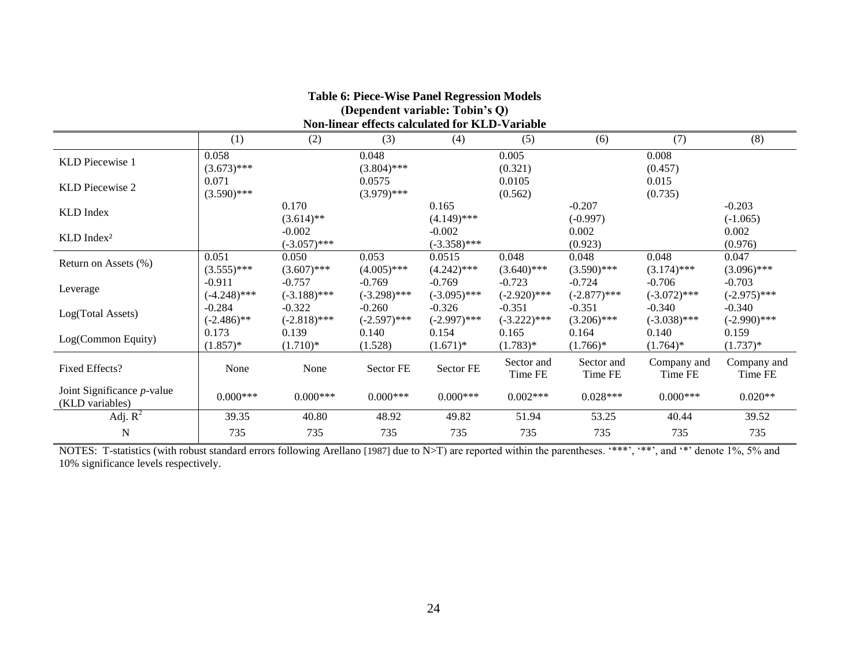| Table 0: Flece-Wise Faller Regression Models<br>(Dependent variable: Tobin's Q)<br>Non-linear effects calculated for KLD-Variable |                            |                            |                            |                            |                            |                            |                            |                            |  |
|-----------------------------------------------------------------------------------------------------------------------------------|----------------------------|----------------------------|----------------------------|----------------------------|----------------------------|----------------------------|----------------------------|----------------------------|--|
|                                                                                                                                   | (1)                        | (2)                        | (3)                        | (4)                        | (5)                        | (6)                        | (7)                        | (8)                        |  |
| KLD Piecewise 1                                                                                                                   | 0.058<br>$(3.673)$ ***     |                            | 0.048<br>$(3.804)$ ***     |                            | 0.005<br>(0.321)           |                            | 0.008<br>(0.457)           |                            |  |
| KLD Piecewise 2                                                                                                                   | 0.071<br>$(3.590)$ ***     |                            | 0.0575<br>$(3.979)$ ***    |                            | 0.0105<br>(0.562)          |                            | 0.015<br>(0.735)           |                            |  |
| KLD Index                                                                                                                         |                            | 0.170<br>$(3.614)$ **      |                            | 0.165<br>$(4.149)$ ***     |                            | $-0.207$<br>$(-0.997)$     |                            | $-0.203$<br>$(-1.065)$     |  |
| KLD Index <sup>2</sup>                                                                                                            |                            | $-0.002$<br>$(-3.057)$ *** |                            | $-0.002$<br>$(-3.358)$ *** |                            | 0.002<br>(0.923)           |                            | 0.002<br>(0.976)           |  |
| Return on Assets (%)                                                                                                              | 0.051<br>$(3.555)$ ***     | 0.050<br>$(3.607)$ ***     | 0.053<br>$(4.005)$ ***     | 0.0515<br>$(4.242)$ ***    | 0.048<br>$(3.640)$ ***     | 0.048<br>$(3.590)$ ***     | 0.048<br>$(3.174)$ ***     | 0.047<br>$(3.096)$ ***     |  |
| Leverage                                                                                                                          | $-0.911$<br>$(-4.248)$ *** | $-0.757$<br>$(-3.188)$ *** | $-0.769$<br>$(-3.298)$ *** | $-0.769$<br>$(-3.095)$ *** | $-0.723$<br>$(-2.920)$ *** | $-0.724$<br>$(-2.877)$ *** | $-0.706$<br>$(-3.072)$ *** | $-0.703$<br>$(-2.975)$ *** |  |
| Log(Total Assets)                                                                                                                 | $-0.284$<br>$(-2.486)$ **  | $-0.322$<br>$(-2.818)$ *** | $-0.260$<br>$(-2.597)$ *** | $-0.326$<br>$(-2.997)$ *** | $-0.351$<br>$(-3.222)$ *** | $-0.351$<br>$(3.206)$ ***  | $-0.340$<br>$(-3.038)$ *** | $-0.340$<br>$(-2.990)$ *** |  |
| Log(Common Equity)                                                                                                                | 0.173<br>$(1.857)^*$       | 0.139<br>$(1.710)*$        | 0.140<br>(1.528)           | 0.154<br>$(1.671)^*$       | 0.165<br>$(1.783)^*$       | 0.164<br>$(1.766)^*$       | 0.140<br>$(1.764)^*$       | 0.159<br>$(1.737)^*$       |  |
| Fixed Effects?                                                                                                                    | None                       | None                       | Sector FE                  | Sector FE                  | Sector and<br>Time FE      | Sector and<br>Time FE      | Company and<br>Time FE     | Company and<br>Time FE     |  |
| Joint Significance $p$ -value<br>(KLD variables)                                                                                  | $0.000***$                 | $0.000***$                 | $0.000***$                 | $0.000***$                 | $0.002***$                 | $0.028***$                 | $0.000***$                 | $0.020**$                  |  |
| Adj. $R^2$                                                                                                                        | 39.35                      | 40.80                      | 48.92                      | 49.82                      | 51.94                      | 53.25                      | 40.44                      | 39.52                      |  |
| N                                                                                                                                 | 735                        | 735                        | 735                        | 735                        | 735                        | 735                        | 735                        | 735                        |  |

**Table 6: Piece-Wise Panel Regression Models** 

# NOTES: T-statistics (with robust standard errors following Arellano [1987] due to N>T) are reported within the parentheses. "\*\*\*, "\*\*, and "\*' denote 1%, 5% and 10% significance levels respectively.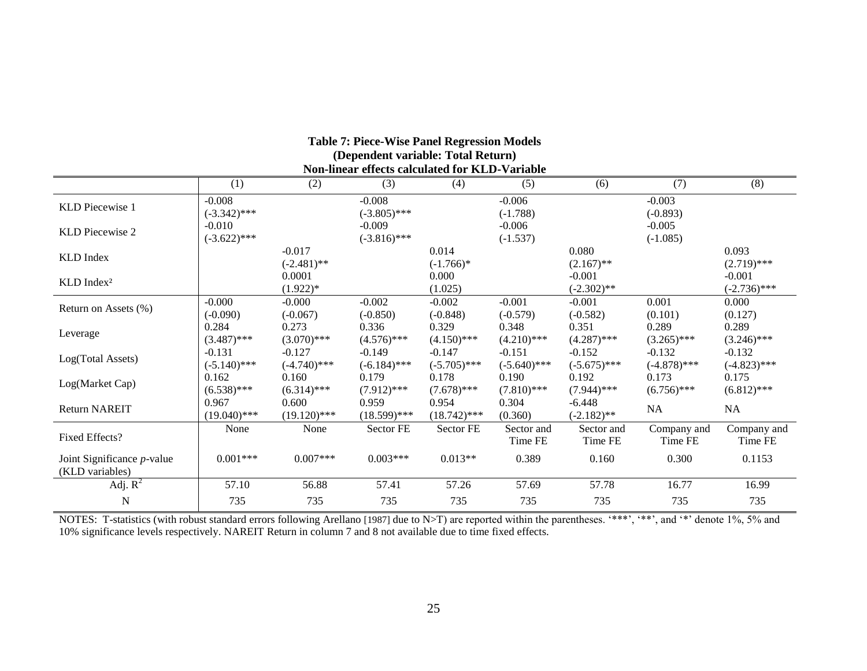| (Dependent variable: Total Return)<br>Non-linear effects calculated for KLD-Variable |                            |                            |                            |                            |                            |                            |                            |                            |  |
|--------------------------------------------------------------------------------------|----------------------------|----------------------------|----------------------------|----------------------------|----------------------------|----------------------------|----------------------------|----------------------------|--|
|                                                                                      | (1)                        | (2)                        | (3)                        | (4)                        | (5)                        | (6)                        | (7)                        | (8)                        |  |
| KLD Piecewise 1                                                                      | $-0.008$<br>$(-3.342)$ *** |                            | $-0.008$<br>$(-3.805)$ *** |                            | $-0.006$<br>$(-1.788)$     |                            | $-0.003$<br>$(-0.893)$     |                            |  |
| KLD Piecewise 2                                                                      | $-0.010$<br>$(-3.622)$ *** |                            | $-0.009$<br>$(-3.816)$ *** |                            | $-0.006$<br>$(-1.537)$     |                            | $-0.005$<br>$(-1.085)$     |                            |  |
| KLD Index                                                                            |                            | $-0.017$<br>$(-2.481)$ **  |                            | 0.014<br>$(-1.766)^*$      |                            | 0.080<br>$(2.167)$ **      |                            | 0.093<br>$(2.719)$ ***     |  |
| KLD Index <sup>2</sup>                                                               |                            | 0.0001<br>$(1.922)*$       |                            | 0.000<br>(1.025)           |                            | $-0.001$<br>$(-2.302)$ **  |                            | $-0.001$<br>$(-2.736)$ *** |  |
| Return on Assets (%)                                                                 | $-0.000$<br>$(-0.090)$     | $-0.000$<br>$(-0.067)$     | $-0.002$<br>$(-0.850)$     | $-0.002$<br>$(-0.848)$     | $-0.001$<br>$(-0.579)$     | $-0.001$<br>$(-0.582)$     | 0.001<br>(0.101)           | 0.000<br>(0.127)           |  |
| Leverage                                                                             | 0.284<br>$(3.487)$ ***     | 0.273<br>$(3.070)$ ***     | 0.336<br>$(4.576)$ ***     | 0.329<br>$(4.150)$ ***     | 0.348<br>$(4.210)$ ***     | 0.351<br>$(4.287)$ ***     | 0.289<br>$(3.265)$ ***     | 0.289<br>$(3.246)$ ***     |  |
| Log(Total Assets)                                                                    | $-0.131$<br>$(-5.140)$ *** | $-0.127$<br>$(-4.740)$ *** | $-0.149$<br>$(-6.184)$ *** | $-0.147$<br>$(-5.705)$ *** | $-0.151$<br>$(-5.640)$ *** | $-0.152$<br>$(-5.675)$ *** | $-0.132$<br>$(-4.878)$ *** | $-0.132$<br>$(-4.823)$ *** |  |
| Log(Market Cap)                                                                      | 0.162<br>$(6.538)$ ***     | 0.160<br>$(6.314)$ ***     | 0.179<br>$(7.912)$ ***     | 0.178<br>$(7.678)$ ***     | 0.190<br>$(7.810)$ ***     | 0.192<br>$(7.944)$ ***     | 0.173<br>$(6.756)$ ***     | 0.175<br>$(6.812)$ ***     |  |
| <b>Return NAREIT</b>                                                                 | 0.967<br>$(19.040)$ ***    | 0.600<br>$(19.120)$ ***    | 0.959<br>$(18.599)$ ***    | 0.954<br>$(18.742)$ ***    | 0.304<br>(0.360)           | $-6.448$<br>$(-2.182)$ **  | NA                         | NA                         |  |
| Fixed Effects?                                                                       | None                       | None                       | Sector FE                  | Sector FE                  | Sector and<br>Time FE      | Sector and<br>Time FE      | Company and<br>Time FE     | Company and<br>Time FE     |  |
| Joint Significance $p$ -value<br>(KLD variables)                                     | $0.001***$                 | $0.007***$                 | $0.003***$                 | $0.013**$                  | 0.389                      | 0.160                      | 0.300                      | 0.1153                     |  |
| Adj. $R^2$                                                                           | 57.10                      | 56.88                      | 57.41                      | 57.26                      | 57.69                      | 57.78                      | 16.77                      | 16.99                      |  |
| $\mathbf N$                                                                          | 735                        | 735                        | 735                        | 735                        | 735                        | 735                        | 735                        | 735                        |  |

**Table 7: Piece-Wise Panel Regression Models** 

NOTES: T-statistics (with robust standard errors following Arellano [1987] due to N>T) are reported within the parentheses. "\*\*\*, "\*\*, and "\*" denote 1%, 5% and 10% significance levels respectively. NAREIT Return in column 7 and 8 not available due to time fixed effects.